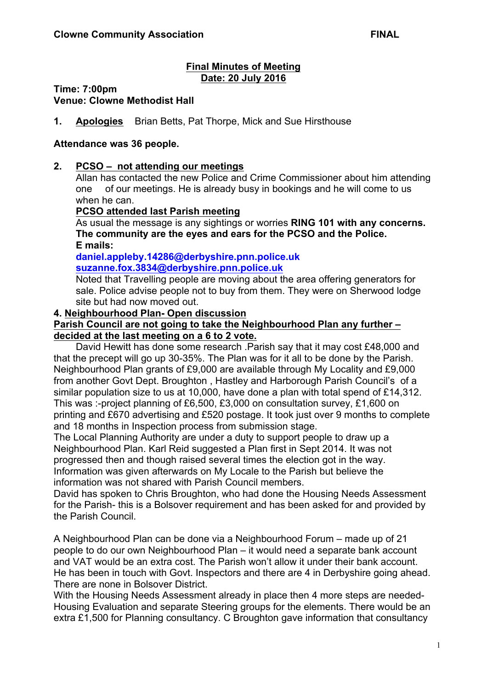#### **Final Minutes of Meeting Date: 20 July 2016**

**Time: 7:00pm**

**Venue: Clowne Methodist Hall**

**1. Apologies** Brian Betts, Pat Thorpe, Mick and Sue Hirsthouse

### **Attendance was 36 people.**

### **2. PCSO – not attending our meetings**

Allan has contacted the new Police and Crime Commissioner about him attending one of our meetings. He is already busy in bookings and he will come to us when he can.

### **PCSO attended last Parish meeting**

As usual the message is any sightings or worries **RING 101 with any concerns. The community are the eyes and ears for the PCSO and the Police. E mails:**

**daniel.appleby.14286@derbyshire.pnn.police.uk suzanne.fox.3834@derbyshire.pnn.police.uk**

Noted that Travelling people are moving about the area offering generators for sale. Police advise people not to buy from them. They were on Sherwood lodge site but had now moved out.

### **4. Neighbourhood Plan- Open discussion**

### **Parish Council are not going to take the Neighbourhood Plan any further – decided at the last meeting on a 6 to 2 vote.**

David Hewitt has done some research .Parish say that it may cost £48,000 and that the precept will go up 30-35%. The Plan was for it all to be done by the Parish. Neighbourhood Plan grants of £9,000 are available through My Locality and £9,000 from another Govt Dept. Broughton , Hastley and Harborough Parish Council's of a similar population size to us at 10,000, have done a plan with total spend of £14,312. This was :-project planning of £6,500, £3,000 on consultation survey, £1,600 on printing and £670 advertising and £520 postage. It took just over 9 months to complete and 18 months in Inspection process from submission stage.

The Local Planning Authority are under a duty to support people to draw up a Neighbourhood Plan. Karl Reid suggested a Plan first in Sept 2014. It was not progressed then and though raised several times the election got in the way. Information was given afterwards on My Locale to the Parish but believe the information was not shared with Parish Council members.

David has spoken to Chris Broughton, who had done the Housing Needs Assessment for the Parish- this is a Bolsover requirement and has been asked for and provided by the Parish Council.

A Neighbourhood Plan can be done via a Neighbourhood Forum – made up of 21 people to do our own Neighbourhood Plan – it would need a separate bank account and VAT would be an extra cost. The Parish won't allow it under their bank account. He has been in touch with Govt. Inspectors and there are 4 in Derbyshire going ahead. There are none in Bolsover District.

With the Housing Needs Assessment already in place then 4 more steps are needed-Housing Evaluation and separate Steering groups for the elements. There would be an extra £1,500 for Planning consultancy. C Broughton gave information that consultancy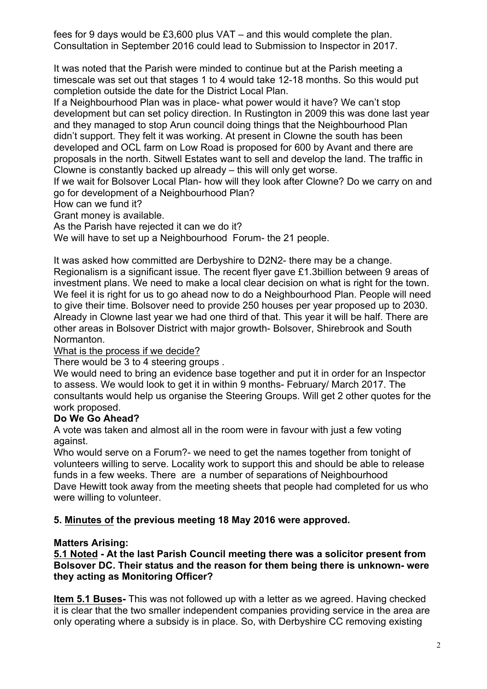fees for 9 days would be £3,600 plus VAT – and this would complete the plan. Consultation in September 2016 could lead to Submission to Inspector in 2017.

It was noted that the Parish were minded to continue but at the Parish meeting a timescale was set out that stages 1 to 4 would take 12-18 months. So this would put completion outside the date for the District Local Plan.

If a Neighbourhood Plan was in place- what power would it have? We can't stop development but can set policy direction. In Rustington in 2009 this was done last year and they managed to stop Arun council doing things that the Neighbourhood Plan didn't support. They felt it was working. At present in Clowne the south has been developed and OCL farm on Low Road is proposed for 600 by Avant and there are proposals in the north. Sitwell Estates want to sell and develop the land. The traffic in Clowne is constantly backed up already – this will only get worse.

If we wait for Bolsover Local Plan- how will they look after Clowne? Do we carry on and go for development of a Neighbourhood Plan?

How can we fund it?

Grant money is available.

As the Parish have rejected it can we do it?

We will have to set up a Neighbourhood Forum- the 21 people.

It was asked how committed are Derbyshire to D2N2- there may be a change. Regionalism is a significant issue. The recent flyer gave £1.3billion between 9 areas of investment plans. We need to make a local clear decision on what is right for the town. We feel it is right for us to go ahead now to do a Neighbourhood Plan. People will need to give their time. Bolsover need to provide 250 houses per year proposed up to 2030. Already in Clowne last year we had one third of that. This year it will be half. There are other areas in Bolsover District with major growth- Bolsover, Shirebrook and South Normanton.

# What is the process if we decide?

There would be 3 to 4 steering groups .

We would need to bring an evidence base together and put it in order for an Inspector to assess. We would look to get it in within 9 months- February/ March 2017. The consultants would help us organise the Steering Groups. Will get 2 other quotes for the work proposed.

# **Do We Go Ahead?**

A vote was taken and almost all in the room were in favour with just a few voting against.

Who would serve on a Forum?- we need to get the names together from tonight of volunteers willing to serve. Locality work to support this and should be able to release funds in a few weeks. There are a number of separations of Neighbourhood Dave Hewitt took away from the meeting sheets that people had completed for us who were willing to volunteer.

# **5. Minutes of the previous meeting 18 May 2016 were approved.**

# **Matters Arising:**

**5.1 Noted - At the last Parish Council meeting there was a solicitor present from Bolsover DC. Their status and the reason for them being there is unknown- were they acting as Monitoring Officer?**

**Item 5.1 Buses-** This was not followed up with a letter as we agreed. Having checked it is clear that the two smaller independent companies providing service in the area are only operating where a subsidy is in place. So, with Derbyshire CC removing existing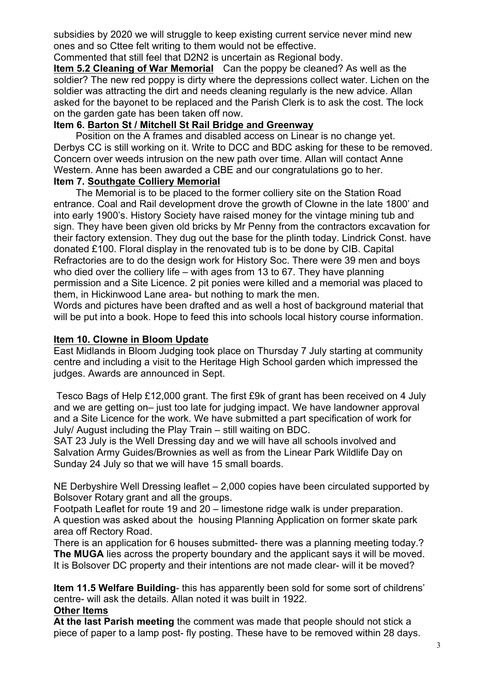subsidies by 2020 we will struggle to keep existing current service never mind new ones and so Cttee felt writing to them would not be effective.

Commented that still feel that D2N2 is uncertain as Regional body.

**Item 5.2 Cleaning of War Memorial** Can the poppy be cleaned? As well as the soldier? The new red poppy is dirty where the depressions collect water. Lichen on the soldier was attracting the dirt and needs cleaning regularly is the new advice. Allan asked for the bayonet to be replaced and the Parish Clerk is to ask the cost. The lock on the garden gate has been taken off now.

# **Item 6. Barton St / Mitchell St Rail Bridge and Greenway**

Position on the A frames and disabled access on Linear is no change yet. Derbys CC is still working on it. Write to DCC and BDC asking for these to be removed. Concern over weeds intrusion on the new path over time. Allan will contact Anne Western. Anne has been awarded a CBE and our congratulations go to her.

# **Item 7. Southgate Colliery Memorial**

The Memorial is to be placed to the former colliery site on the Station Road entrance. Coal and Rail development drove the growth of Clowne in the late 1800' and into early 1900's. History Society have raised money for the vintage mining tub and sign. They have been given old bricks by Mr Penny from the contractors excavation for their factory extension. They dug out the base for the plinth today. Lindrick Const. have donated £100. Floral display in the renovated tub is to be done by CIB. Capital Refractories are to do the design work for History Soc. There were 39 men and boys who died over the colliery life – with ages from 13 to 67. They have planning permission and a Site Licence. 2 pit ponies were killed and a memorial was placed to them, in Hickinwood Lane area- but nothing to mark the men.

Words and pictures have been drafted and as well a host of background material that will be put into a book. Hope to feed this into schools local history course information.

# **Item 10. Clowne in Bloom Update**

East Midlands in Bloom Judging took place on Thursday 7 July starting at community centre and including a visit to the Heritage High School garden which impressed the judges. Awards are announced in Sept.

Tesco Bags of Help £12,000 grant. The first £9k of grant has been received on 4 July and we are getting on– just too late for judging impact. We have landowner approval and a Site Licence for the work. We have submitted a part specification of work for July/ August including the Play Train – still waiting on BDC.

SAT 23 July is the Well Dressing day and we will have all schools involved and Salvation Army Guides/Brownies as well as from the Linear Park Wildlife Day on Sunday 24 July so that we will have 15 small boards.

NE Derbyshire Well Dressing leaflet – 2,000 copies have been circulated supported by Bolsover Rotary grant and all the groups.

Footpath Leaflet for route 19 and 20 – limestone ridge walk is under preparation. A question was asked about the housing Planning Application on former skate park area off Rectory Road.

There is an application for 6 houses submitted- there was a planning meeting today.? **The MUGA** lies across the property boundary and the applicant says it will be moved. It is Bolsover DC property and their intentions are not made clear- will it be moved?

**Item 11.5 Welfare Building**- this has apparently been sold for some sort of childrens' centre- will ask the details. Allan noted it was built in 1922.

# **Other Items**

**At the last Parish meeting** the comment was made that people should not stick a piece of paper to a lamp post- fly posting. These have to be removed within 28 days.